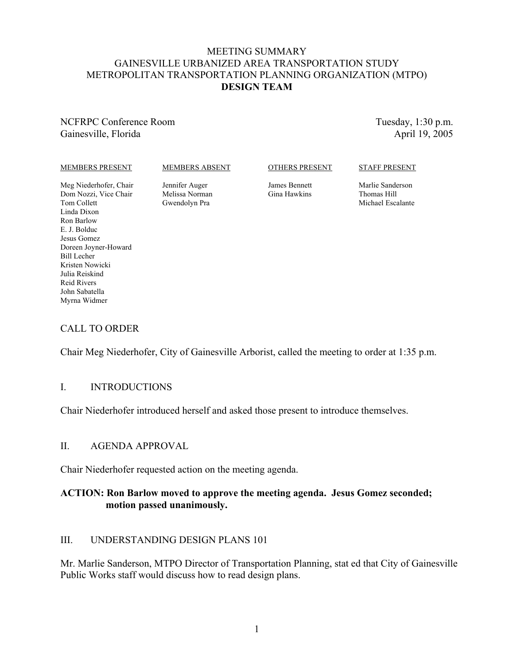### MEETING SUMMARY GAINESVILLE URBANIZED AREA TRANSPORTATION STUDY METROPOLITAN TRANSPORTATION PLANNING ORGANIZATION (MTPO) **DESIGN TEAM**

NCFRPC Conference Room Gainesville, Florida

Tuesday, 1:30 p.m. April 19, 2005

#### MEMBERS PRESENT

#### MEMBERS ABSENT

#### OTHERS PRESENT

#### STAFF PRESENT

Meg Niederhofer, Chair Dom Nozzi, Vice Chair Tom Collett Linda Dixon Ron Barlow E. J. Bolduc Jesus Gomez Doreen Joyner-Howard Bill Lecher Kristen Nowicki Julia Reiskind Reid Rivers John Sabatella Myrna Widmer

Jennifer Auger Melissa Norman Gwendolyn Pra

James Bennett Gina Hawkins Marlie Sanderson Thomas Hill Michael Escalante

# CALL TO ORDER

Chair Meg Niederhofer, City of Gainesville Arborist, called the meeting to order at 1:35 p.m.

#### I. INTRODUCTIONS

Chair Niederhofer introduced herself and asked those present to introduce themselves.

### II. AGENDA APPROVAL

Chair Niederhofer requested action on the meeting agenda.

# **ACTION: Ron Barlow moved to approve the meeting agenda. Jesus Gomez seconded; motion passed unanimously.**

# III. UNDERSTANDING DESIGN PLANS 101

Mr. Marlie Sanderson, MTPO Director of Transportation Planning, stat ed that City of Gainesville Public Works staff would discuss how to read design plans.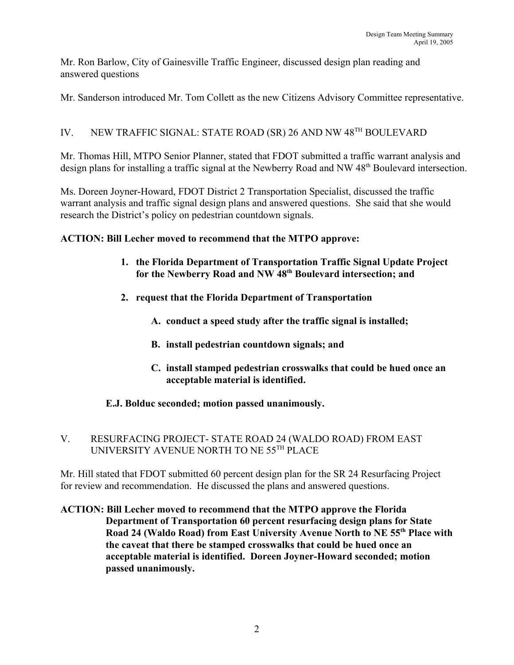Mr. Ron Barlow, City of Gainesville Traffic Engineer, discussed design plan reading and answered questions

Mr. Sanderson introduced Mr. Tom Collett as the new Citizens Advisory Committee representative.

# IV. NEW TRAFFIC SIGNAL: STATE ROAD (SR) 26 AND NW 48TH BOULEVARD

Mr. Thomas Hill, MTPO Senior Planner, stated that FDOT submitted a traffic warrant analysis and design plans for installing a traffic signal at the Newberry Road and NW 48<sup>th</sup> Boulevard intersection.

Ms. Doreen Joyner-Howard, FDOT District 2 Transportation Specialist, discussed the traffic warrant analysis and traffic signal design plans and answered questions. She said that she would research the District's policy on pedestrian countdown signals.

# **ACTION: Bill Lecher moved to recommend that the MTPO approve:**

- **1. the Florida Department of Transportation Traffic Signal Update Project for the Newberry Road and NW 48th Boulevard intersection; and**
- **2. request that the Florida Department of Transportation**
	- **A. conduct a speed study after the traffic signal is installed;**
	- **B. install pedestrian countdown signals; and**
	- **C. install stamped pedestrian crosswalks that could be hued once an acceptable material is identified.**

# **E.J. Bolduc seconded; motion passed unanimously.**

# V. RESURFACING PROJECT- STATE ROAD 24 (WALDO ROAD) FROM EAST UNIVERSITY AVENUE NORTH TO NE 55TH PLACE

Mr. Hill stated that FDOT submitted 60 percent design plan for the SR 24 Resurfacing Project for review and recommendation. He discussed the plans and answered questions.

**ACTION: Bill Lecher moved to recommend that the MTPO approve the Florida Department of Transportation 60 percent resurfacing design plans for State Road 24 (Waldo Road) from East University Avenue North to NE 55th Place with the caveat that there be stamped crosswalks that could be hued once an acceptable material is identified. Doreen Joyner-Howard seconded; motion passed unanimously.**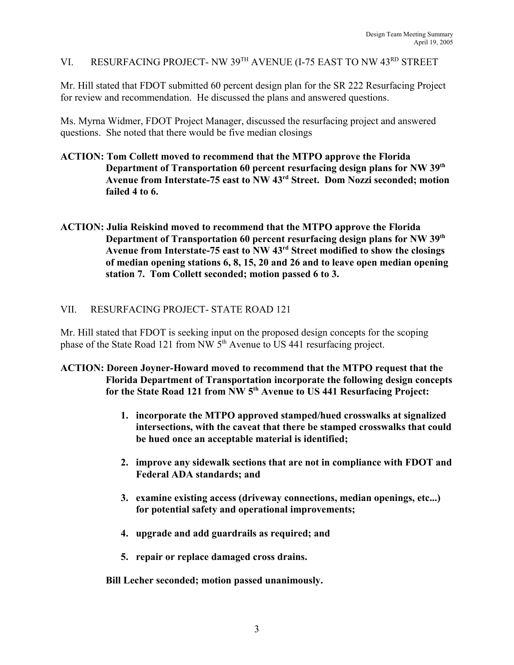VI. RESURFACING PROJECT- NW 39TH AVENUE (I-75 EAST TO NW 43RD STREET

Mr. Hill stated that FDOT submitted 60 percent design plan for the SR 222 Resurfacing Project for review and recommendation. He discussed the plans and answered questions.

Ms. Myrna Widmer, FDOT Project Manager, discussed the resurfacing project and answered questions. She noted that there would be five median closings

- **ACTION: Tom Collett moved to recommend that the MTPO approve the Florida Department of Transportation 60 percent resurfacing design plans for NW 39th Avenue from Interstate-75 east to NW 43rd Street. Dom Nozzi seconded; motion failed 4 to 6.**
- **ACTION: Julia Reiskind moved to recommend that the MTPO approve the Florida Department of Transportation 60 percent resurfacing design plans for NW 39th Avenue from Interstate-75 east to NW 43rd Street modified to show the closings of median opening stations 6, 8, 15, 20 and 26 and to leave open median opening station 7. Tom Collett seconded; motion passed 6 to 3.**

# VII. RESURFACING PROJECT- STATE ROAD 121

Mr. Hill stated that FDOT is seeking input on the proposed design concepts for the scoping phase of the State Road 121 from NW 5<sup>th</sup> Avenue to US 441 resurfacing project.

### **ACTION: Doreen Joyner-Howard moved to recommend that the MTPO request that the Florida Department of Transportation incorporate the following design concepts for the State Road 121 from NW 5th Avenue to US 441 Resurfacing Project:**

- **1. incorporate the MTPO approved stamped/hued crosswalks at signalized intersections, with the caveat that there be stamped crosswalks that could be hued once an acceptable material is identified;**
- **2. improve any sidewalk sections that are not in compliance with FDOT and Federal ADA standards; and**
- **3. examine existing access (driveway connections, median openings, etc...) for potential safety and operational improvements;**
- **4. upgrade and add guardrails as required; and**
- **5. repair or replace damaged cross drains.**

**Bill Lecher seconded; motion passed unanimously.**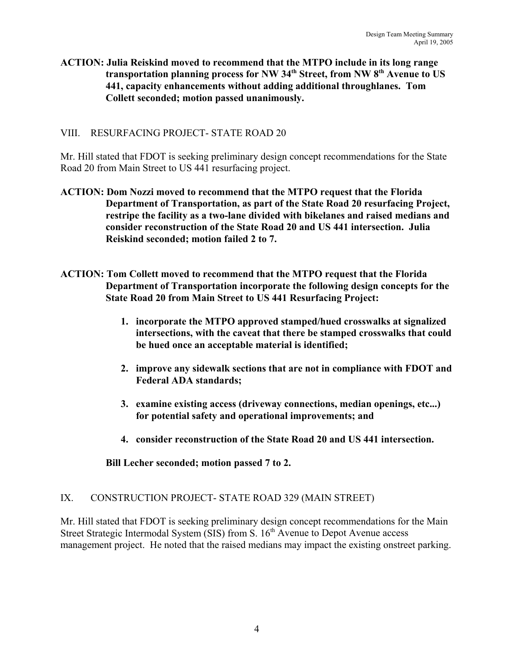### **ACTION: Julia Reiskind moved to recommend that the MTPO include in its long range** transportation planning process for NW 34<sup>th</sup> Street, from NW 8<sup>th</sup> Avenue to US **441, capacity enhancements without adding additional throughlanes. Tom Collett seconded; motion passed unanimously.**

# VIII. RESURFACING PROJECT- STATE ROAD 20

Mr. Hill stated that FDOT is seeking preliminary design concept recommendations for the State Road 20 from Main Street to US 441 resurfacing project.

- **ACTION: Dom Nozzi moved to recommend that the MTPO request that the Florida Department of Transportation, as part of the State Road 20 resurfacing Project, restripe the facility as a two-lane divided with bikelanes and raised medians and consider reconstruction of the State Road 20 and US 441 intersection. Julia Reiskind seconded; motion failed 2 to 7.**
- **ACTION: Tom Collett moved to recommend that the MTPO request that the Florida Department of Transportation incorporate the following design concepts for the State Road 20 from Main Street to US 441 Resurfacing Project:**
	- **1. incorporate the MTPO approved stamped/hued crosswalks at signalized intersections, with the caveat that there be stamped crosswalks that could be hued once an acceptable material is identified;**
	- **2. improve any sidewalk sections that are not in compliance with FDOT and Federal ADA standards;**
	- **3. examine existing access (driveway connections, median openings, etc...) for potential safety and operational improvements; and**
	- **4. consider reconstruction of the State Road 20 and US 441 intersection.**

**Bill Lecher seconded; motion passed 7 to 2.**

# IX. CONSTRUCTION PROJECT- STATE ROAD 329 (MAIN STREET)

Mr. Hill stated that FDOT is seeking preliminary design concept recommendations for the Main Street Strategic Intermodal System (SIS) from S.  $16<sup>th</sup>$  Avenue to Depot Avenue access management project. He noted that the raised medians may impact the existing onstreet parking.